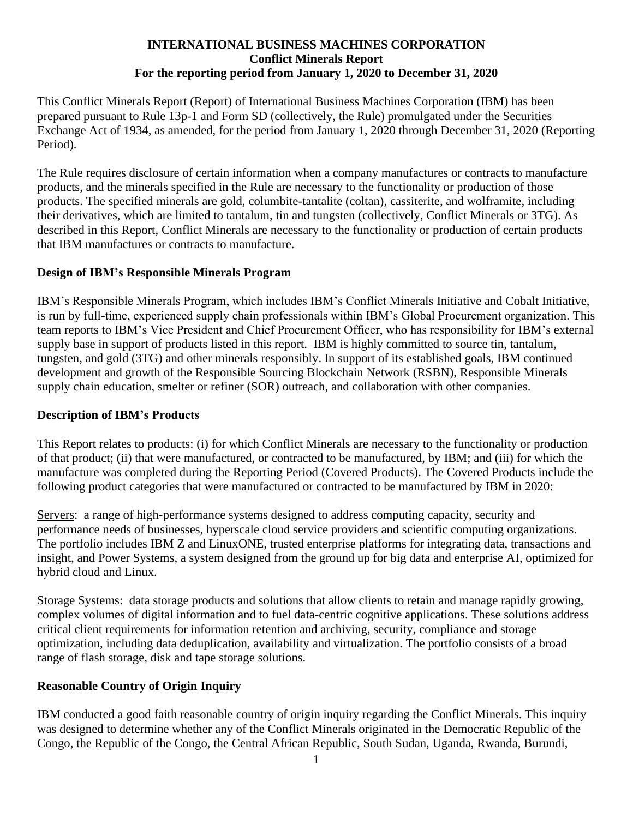#### **INTERNATIONAL BUSINESS MACHINES CORPORATION Conflict Minerals Report For the reporting period from January 1, 2020 to December 31, 2020**

This Conflict Minerals Report (Report) of International Business Machines Corporation (IBM) has been prepared pursuant to Rule 13p-1 and Form SD (collectively, the Rule) promulgated under the Securities Exchange Act of 1934, as amended, for the period from January 1, 2020 through December 31, 2020 (Reporting Period).

The Rule requires disclosure of certain information when a company manufactures or contracts to manufacture products, and the minerals specified in the Rule are necessary to the functionality or production of those products. The specified minerals are gold, columbite-tantalite (coltan), cassiterite, and wolframite, including their derivatives, which are limited to tantalum, tin and tungsten (collectively, Conflict Minerals or 3TG). As described in this Report, Conflict Minerals are necessary to the functionality or production of certain products that IBM manufactures or contracts to manufacture.

### **Design of IBM's Responsible Minerals Program**

IBM's Responsible Minerals Program, which includes IBM's Conflict Minerals Initiative and Cobalt Initiative, is run by full-time, experienced supply chain professionals within IBM's Global Procurement organization. This team reports to IBM's Vice President and Chief Procurement Officer, who has responsibility for IBM's external supply base in support of products listed in this report. IBM is highly committed to source tin, tantalum, tungsten, and gold (3TG) and other minerals responsibly. In support of its established goals, IBM continued development and growth of the Responsible Sourcing Blockchain Network (RSBN), Responsible Minerals supply chain education, smelter or refiner (SOR) outreach, and collaboration with other companies.

#### **Description of IBM's Products**

This Report relates to products: (i) for which Conflict Minerals are necessary to the functionality or production of that product; (ii) that were manufactured, or contracted to be manufactured, by IBM; and (iii) for which the manufacture was completed during the Reporting Period (Covered Products). The Covered Products include the following product categories that were manufactured or contracted to be manufactured by IBM in 2020:

Servers: a range of high-performance systems designed to address computing capacity, security and performance needs of businesses, hyperscale cloud service providers and scientific computing organizations. The portfolio includes IBM Z and LinuxONE, trusted enterprise platforms for integrating data, transactions and insight, and Power Systems, a system designed from the ground up for big data and enterprise AI, optimized for hybrid cloud and Linux.

Storage Systems: data storage products and solutions that allow clients to retain and manage rapidly growing, complex volumes of digital information and to fuel data-centric cognitive applications. These solutions address critical client requirements for information retention and archiving, security, compliance and storage optimization, including data deduplication, availability and virtualization. The portfolio consists of a broad range of flash storage, disk and tape storage solutions.

### **Reasonable Country of Origin Inquiry**

IBM conducted a good faith reasonable country of origin inquiry regarding the Conflict Minerals. This inquiry was designed to determine whether any of the Conflict Minerals originated in the Democratic Republic of the Congo, the Republic of the Congo, the Central African Republic, South Sudan, Uganda, Rwanda, Burundi,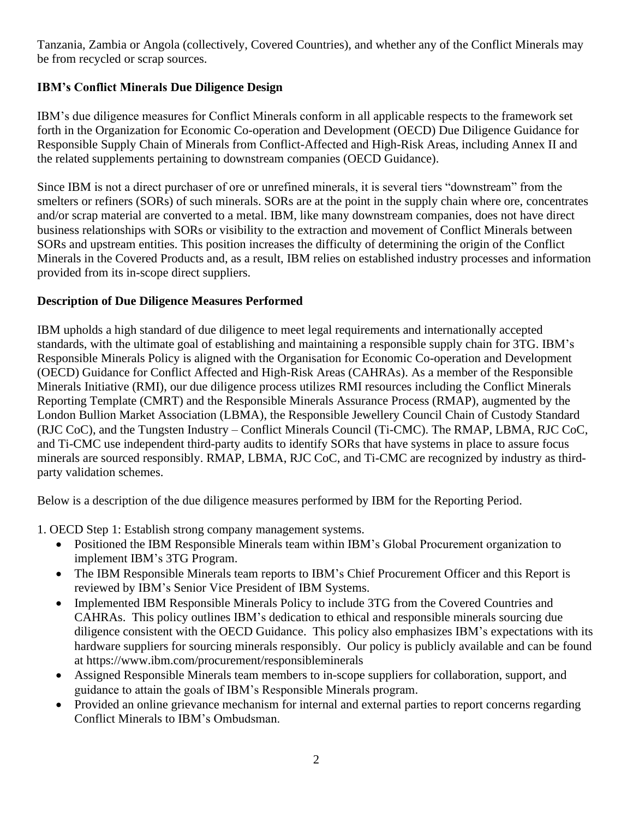Tanzania, Zambia or Angola (collectively, Covered Countries), and whether any of the Conflict Minerals may be from recycled or scrap sources.

# **IBM's Conflict Minerals Due Diligence Design**

IBM's due diligence measures for Conflict Minerals conform in all applicable respects to the framework set forth in the Organization for Economic Co-operation and Development (OECD) Due Diligence Guidance for Responsible Supply Chain of Minerals from Conflict-Affected and High-Risk Areas, including Annex II and the related supplements pertaining to downstream companies (OECD Guidance).

Since IBM is not a direct purchaser of ore or unrefined minerals, it is several tiers "downstream" from the smelters or refiners (SORs) of such minerals. SORs are at the point in the supply chain where ore, concentrates and/or scrap material are converted to a metal. IBM, like many downstream companies, does not have direct business relationships with SORs or visibility to the extraction and movement of Conflict Minerals between SORs and upstream entities. This position increases the difficulty of determining the origin of the Conflict Minerals in the Covered Products and, as a result, IBM relies on established industry processes and information provided from its in-scope direct suppliers.

### **Description of Due Diligence Measures Performed**

IBM upholds a high standard of due diligence to meet legal requirements and internationally accepted standards, with the ultimate goal of establishing and maintaining a responsible supply chain for 3TG. IBM's Responsible Minerals Policy is aligned with the Organisation for Economic Co-operation and Development (OECD) Guidance for Conflict Affected and High-Risk Areas (CAHRAs). As a member of the Responsible Minerals Initiative (RMI), our due diligence process utilizes RMI resources including the Conflict Minerals Reporting Template (CMRT) and the Responsible Minerals Assurance Process (RMAP), augmented by the London Bullion Market Association (LBMA), the Responsible Jewellery Council Chain of Custody Standard (RJC CoC), and the Tungsten Industry – Conflict Minerals Council (Ti-CMC). The RMAP, LBMA, RJC CoC, and Ti-CMC use independent third-party audits to identify SORs that have systems in place to assure focus minerals are sourced responsibly. RMAP, LBMA, RJC CoC, and Ti-CMC are recognized by industry as thirdparty validation schemes.

Below is a description of the due diligence measures performed by IBM for the Reporting Period.

1. OECD Step 1: Establish strong company management systems.

- Positioned the IBM Responsible Minerals team within IBM's Global Procurement organization to implement IBM's 3TG Program.
- The IBM Responsible Minerals team reports to IBM's Chief Procurement Officer and this Report is reviewed by IBM's Senior Vice President of IBM Systems.
- Implemented IBM Responsible Minerals Policy to include 3TG from the Covered Countries and CAHRAs. This policy outlines IBM's dedication to ethical and responsible minerals sourcing due diligence consistent with the OECD Guidance. This policy also emphasizes IBM's expectations with its hardware suppliers for sourcing minerals responsibly. Our policy is publicly available and can be found at https://www.ibm.com/procurement/responsibleminerals
- Assigned Responsible Minerals team members to in-scope suppliers for collaboration, support, and guidance to attain the goals of IBM's Responsible Minerals program.
- Provided an online grievance mechanism for internal and external parties to report concerns regarding Conflict Minerals to IBM's Ombudsman.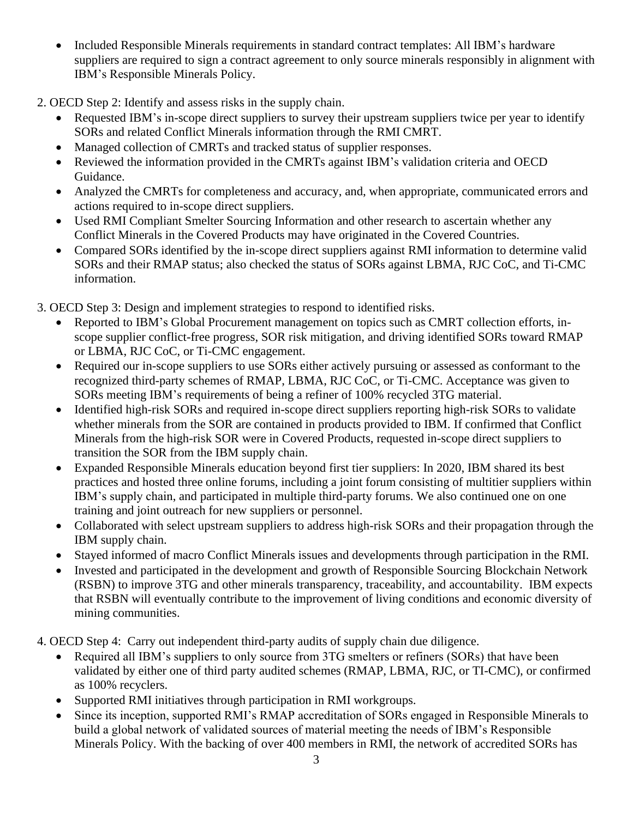• Included Responsible Minerals requirements in standard contract templates: All IBM's hardware suppliers are required to sign a contract agreement to only source minerals responsibly in alignment with IBM's Responsible Minerals Policy.

2. OECD Step 2: Identify and assess risks in the supply chain.

- Requested IBM's in-scope direct suppliers to survey their upstream suppliers twice per year to identify SORs and related Conflict Minerals information through the RMI CMRT.
- Managed collection of CMRTs and tracked status of supplier responses.
- Reviewed the information provided in the CMRTs against IBM's validation criteria and OECD Guidance.
- Analyzed the CMRTs for completeness and accuracy, and, when appropriate, communicated errors and actions required to in-scope direct suppliers.
- Used RMI Compliant Smelter Sourcing Information and other research to ascertain whether any Conflict Minerals in the Covered Products may have originated in the Covered Countries.
- Compared SORs identified by the in-scope direct suppliers against RMI information to determine valid SORs and their RMAP status; also checked the status of SORs against LBMA, RJC CoC, and Ti-CMC information.

3. OECD Step 3: Design and implement strategies to respond to identified risks.

- Reported to IBM's Global Procurement management on topics such as CMRT collection efforts, inscope supplier conflict-free progress, SOR risk mitigation, and driving identified SORs toward RMAP or LBMA, RJC CoC, or Ti-CMC engagement.
- Required our in-scope suppliers to use SORs either actively pursuing or assessed as conformant to the recognized third-party schemes of RMAP, LBMA, RJC CoC, or Ti-CMC. Acceptance was given to SORs meeting IBM's requirements of being a refiner of 100% recycled 3TG material.
- Identified high-risk SORs and required in-scope direct suppliers reporting high-risk SORs to validate whether minerals from the SOR are contained in products provided to IBM. If confirmed that Conflict Minerals from the high-risk SOR were in Covered Products, requested in-scope direct suppliers to transition the SOR from the IBM supply chain.
- Expanded Responsible Minerals education beyond first tier suppliers: In 2020, IBM shared its best practices and hosted three online forums, including a joint forum consisting of multitier suppliers within IBM's supply chain, and participated in multiple third-party forums. We also continued one on one training and joint outreach for new suppliers or personnel.
- Collaborated with select upstream suppliers to address high-risk SORs and their propagation through the IBM supply chain.
- Stayed informed of macro Conflict Minerals issues and developments through participation in the RMI.
- Invested and participated in the development and growth of Responsible Sourcing Blockchain Network (RSBN) to improve 3TG and other minerals transparency, traceability, and accountability. IBM expects that RSBN will eventually contribute to the improvement of living conditions and economic diversity of mining communities.

4. OECD Step 4: Carry out independent third-party audits of supply chain due diligence.

- Required all IBM's suppliers to only source from 3TG smelters or refiners (SORs) that have been validated by either one of third party audited schemes (RMAP, LBMA, RJC, or TI-CMC), or confirmed as 100% recyclers.
- Supported RMI initiatives through participation in RMI workgroups.
- Since its inception, supported RMI's RMAP accreditation of SORs engaged in Responsible Minerals to build a global network of validated sources of material meeting the needs of IBM's Responsible Minerals Policy. With the backing of over 400 members in RMI, the network of accredited SORs has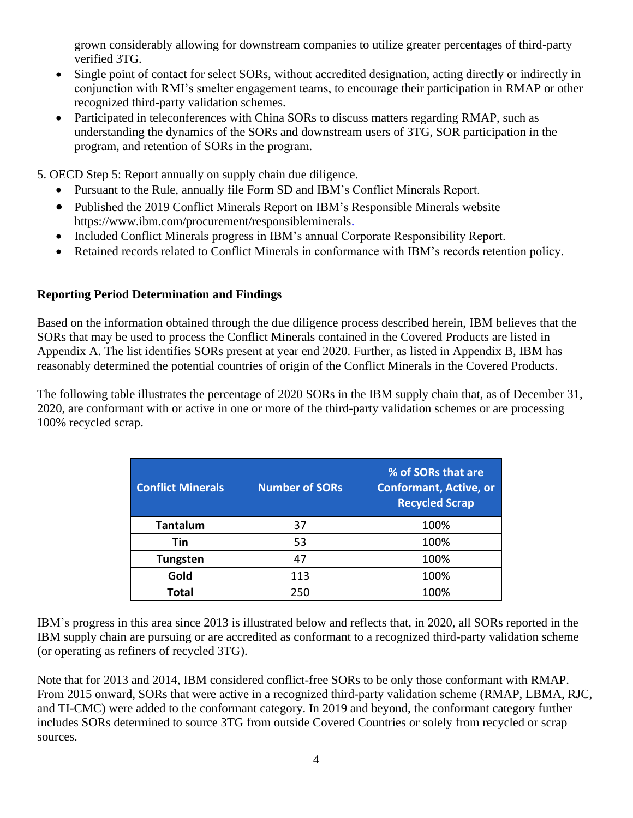grown considerably allowing for downstream companies to utilize greater percentages of third-party verified 3TG.

- Single point of contact for select SORs, without accredited designation, acting directly or indirectly in conjunction with RMI's smelter engagement teams, to encourage their participation in RMAP or other recognized third-party validation schemes.
- Participated in teleconferences with China SORs to discuss matters regarding RMAP, such as understanding the dynamics of the SORs and downstream users of 3TG, SOR participation in the program, and retention of SORs in the program.

5. OECD Step 5: Report annually on supply chain due diligence.

- Pursuant to the Rule, annually file Form SD and IBM's Conflict Minerals Report.
- Published the 2019 Conflict Minerals Report on IBM's Responsible Minerals website https://www.ibm.com/procurement/responsibleminerals.
- Included Conflict Minerals progress in IBM's annual Corporate Responsibility Report.
- Retained records related to Conflict Minerals in conformance with IBM's records retention policy.

# **Reporting Period Determination and Findings**

Based on the information obtained through the due diligence process described herein, IBM believes that the SORs that may be used to process the Conflict Minerals contained in the Covered Products are listed in Appendix A. The list identifies SORs present at year end 2020. Further, as listed in Appendix B, IBM has reasonably determined the potential countries of origin of the Conflict Minerals in the Covered Products.

The following table illustrates the percentage of 2020 SORs in the IBM supply chain that, as of December 31, 2020, are conformant with or active in one or more of the third-party validation schemes or are processing 100% recycled scrap.

| <b>Conflict Minerals</b> | <b>Number of SORs</b> | % of SORs that are<br><b>Conformant, Active, or</b><br><b>Recycled Scrap</b> |  |
|--------------------------|-----------------------|------------------------------------------------------------------------------|--|
| Tantalum                 | 37                    | 100%                                                                         |  |
| Tin                      | 53                    | 100%                                                                         |  |
| <b>Tungsten</b>          | 47                    | 100%                                                                         |  |
| Gold                     | 113                   | 100%                                                                         |  |
| Total                    | 250                   | 100%                                                                         |  |

IBM's progress in this area since 2013 is illustrated below and reflects that, in 2020, all SORs reported in the IBM supply chain are pursuing or are accredited as conformant to a recognized third-party validation scheme (or operating as refiners of recycled 3TG).

Note that for 2013 and 2014, IBM considered conflict-free SORs to be only those conformant with RMAP. From 2015 onward, SORs that were active in a recognized third-party validation scheme (RMAP, LBMA, RJC, and TI-CMC) were added to the conformant category. In 2019 and beyond, the conformant category further includes SORs determined to source 3TG from outside Covered Countries or solely from recycled or scrap sources.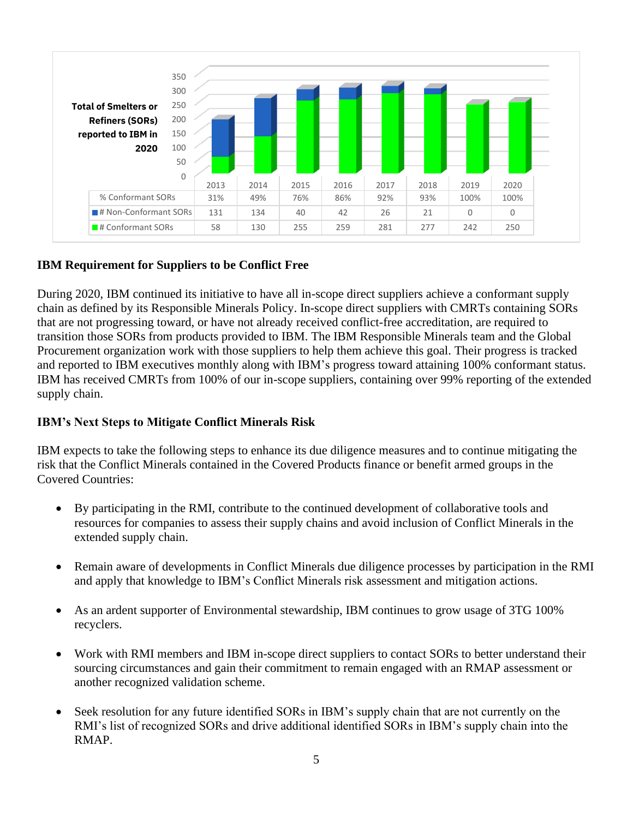

### **IBM Requirement for Suppliers to be Conflict Free**

During 2020, IBM continued its initiative to have all in-scope direct suppliers achieve a conformant supply chain as defined by its Responsible Minerals Policy. In-scope direct suppliers with CMRTs containing SORs that are not progressing toward, or have not already received conflict-free accreditation, are required to transition those SORs from products provided to IBM. The IBM Responsible Minerals team and the Global Procurement organization work with those suppliers to help them achieve this goal. Their progress is tracked and reported to IBM executives monthly along with IBM's progress toward attaining 100% conformant status. IBM has received CMRTs from 100% of our in-scope suppliers, containing over 99% reporting of the extended supply chain.

### **IBM's Next Steps to Mitigate Conflict Minerals Risk**

IBM expects to take the following steps to enhance its due diligence measures and to continue mitigating the risk that the Conflict Minerals contained in the Covered Products finance or benefit armed groups in the Covered Countries:

- By participating in the RMI, contribute to the continued development of collaborative tools and resources for companies to assess their supply chains and avoid inclusion of Conflict Minerals in the extended supply chain.
- Remain aware of developments in Conflict Minerals due diligence processes by participation in the RMI and apply that knowledge to IBM's Conflict Minerals risk assessment and mitigation actions.
- As an ardent supporter of Environmental stewardship, IBM continues to grow usage of 3TG 100% recyclers.
- Work with RMI members and IBM in-scope direct suppliers to contact SORs to better understand their sourcing circumstances and gain their commitment to remain engaged with an RMAP assessment or another recognized validation scheme.
- Seek resolution for any future identified SORs in IBM's supply chain that are not currently on the RMI's list of recognized SORs and drive additional identified SORs in IBM's supply chain into the RMAP.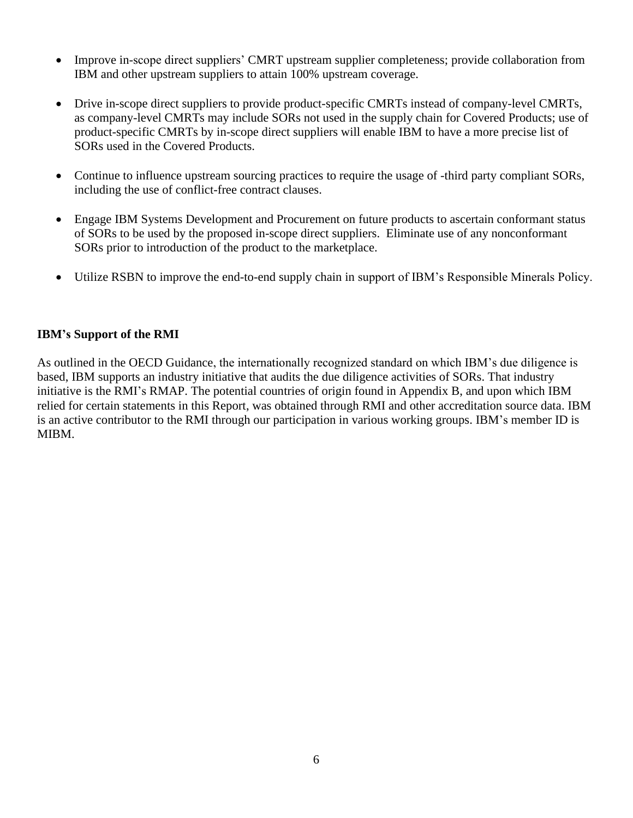- Improve in-scope direct suppliers' CMRT upstream supplier completeness; provide collaboration from IBM and other upstream suppliers to attain 100% upstream coverage.
- Drive in-scope direct suppliers to provide product-specific CMRTs instead of company-level CMRTs, as company-level CMRTs may include SORs not used in the supply chain for Covered Products; use of product-specific CMRTs by in-scope direct suppliers will enable IBM to have a more precise list of SORs used in the Covered Products.
- Continue to influence upstream sourcing practices to require the usage of -third party compliant SORs, including the use of conflict-free contract clauses.
- Engage IBM Systems Development and Procurement on future products to ascertain conformant status of SORs to be used by the proposed in-scope direct suppliers. Eliminate use of any nonconformant SORs prior to introduction of the product to the marketplace.
- Utilize RSBN to improve the end-to-end supply chain in support of IBM's Responsible Minerals Policy.

### **IBM's Support of the RMI**

As outlined in the OECD Guidance, the internationally recognized standard on which IBM's due diligence is based, IBM supports an industry initiative that audits the due diligence activities of SORs. That industry initiative is the RMI's RMAP. The potential countries of origin found in Appendix B, and upon which IBM relied for certain statements in this Report, was obtained through RMI and other accreditation source data. IBM is an active contributor to the RMI through our participation in various working groups. IBM's member ID is MIBM.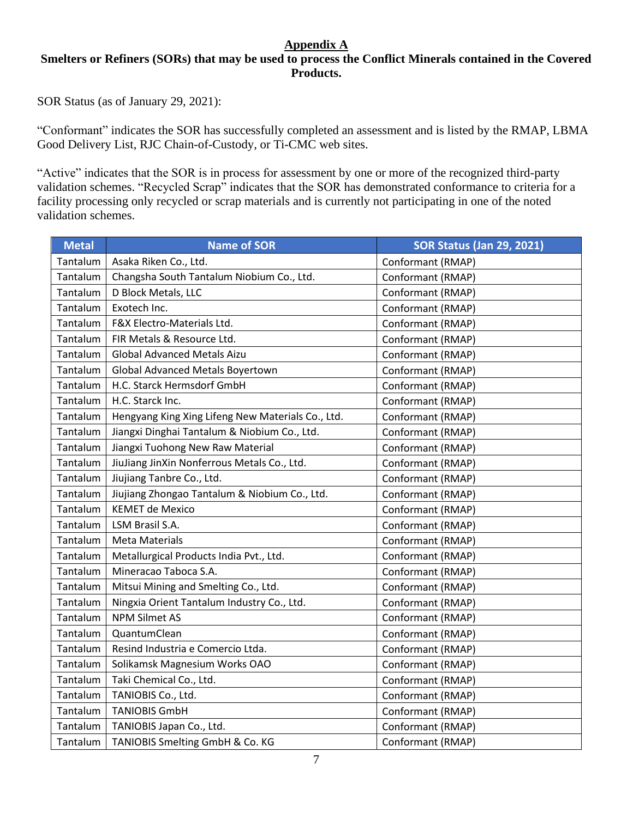#### **Appendix A**  Smelters or Refiners (SORs) that may be used to process the Conflict Minerals contained in the Covered **Products.**

SOR Status (as of January 29, 2021):

"Conformant" indicates the SOR has successfully completed an assessment and is listed by the RMAP, LBMA Good Delivery List, RJC Chain-of-Custody, or Ti-CMC web sites.

"Active" indicates that the SOR is in process for assessment by one or more of the recognized third-party validation schemes. "Recycled Scrap" indicates that the SOR has demonstrated conformance to criteria for a facility processing only recycled or scrap materials and is currently not participating in one of the noted validation schemes.

| <b>Metal</b> | <b>Name of SOR</b>                                | <b>SOR Status (Jan 29, 2021)</b> |  |
|--------------|---------------------------------------------------|----------------------------------|--|
| Tantalum     | Asaka Riken Co., Ltd.                             | Conformant (RMAP)                |  |
| Tantalum     | Changsha South Tantalum Niobium Co., Ltd.         | Conformant (RMAP)                |  |
| Tantalum     | D Block Metals, LLC                               | Conformant (RMAP)                |  |
| Tantalum     | Exotech Inc.                                      | Conformant (RMAP)                |  |
| Tantalum     | F&X Electro-Materials Ltd.                        | Conformant (RMAP)                |  |
| Tantalum     | FIR Metals & Resource Ltd.                        | Conformant (RMAP)                |  |
| Tantalum     | <b>Global Advanced Metals Aizu</b>                | Conformant (RMAP)                |  |
| Tantalum     | <b>Global Advanced Metals Boyertown</b>           | Conformant (RMAP)                |  |
| Tantalum     | H.C. Starck Hermsdorf GmbH                        | Conformant (RMAP)                |  |
| Tantalum     | H.C. Starck Inc.                                  | Conformant (RMAP)                |  |
| Tantalum     | Hengyang King Xing Lifeng New Materials Co., Ltd. | Conformant (RMAP)                |  |
| Tantalum     | Jiangxi Dinghai Tantalum & Niobium Co., Ltd.      | Conformant (RMAP)                |  |
| Tantalum     | Jiangxi Tuohong New Raw Material                  | Conformant (RMAP)                |  |
| Tantalum     | JiuJiang JinXin Nonferrous Metals Co., Ltd.       | Conformant (RMAP)                |  |
| Tantalum     | Jiujiang Tanbre Co., Ltd.                         | Conformant (RMAP)                |  |
| Tantalum     | Jiujiang Zhongao Tantalum & Niobium Co., Ltd.     | Conformant (RMAP)                |  |
| Tantalum     | <b>KEMET de Mexico</b>                            | Conformant (RMAP)                |  |
| Tantalum     | LSM Brasil S.A.                                   | Conformant (RMAP)                |  |
| Tantalum     | <b>Meta Materials</b>                             | Conformant (RMAP)                |  |
| Tantalum     | Metallurgical Products India Pvt., Ltd.           | Conformant (RMAP)                |  |
| Tantalum     | Mineracao Taboca S.A.                             | Conformant (RMAP)                |  |
| Tantalum     | Mitsui Mining and Smelting Co., Ltd.              | Conformant (RMAP)                |  |
| Tantalum     | Ningxia Orient Tantalum Industry Co., Ltd.        | Conformant (RMAP)                |  |
| Tantalum     | <b>NPM Silmet AS</b>                              | Conformant (RMAP)                |  |
| Tantalum     | QuantumClean                                      | Conformant (RMAP)                |  |
| Tantalum     | Resind Industria e Comercio Ltda.                 | Conformant (RMAP)                |  |
| Tantalum     | Solikamsk Magnesium Works OAO                     | Conformant (RMAP)                |  |
| Tantalum     | Taki Chemical Co., Ltd.                           | Conformant (RMAP)                |  |
| Tantalum     | TANIOBIS Co., Ltd.                                | Conformant (RMAP)                |  |
| Tantalum     | <b>TANIOBIS GmbH</b>                              | Conformant (RMAP)                |  |
| Tantalum     | TANIOBIS Japan Co., Ltd.                          | Conformant (RMAP)                |  |
| Tantalum     | TANIOBIS Smelting GmbH & Co. KG                   | Conformant (RMAP)                |  |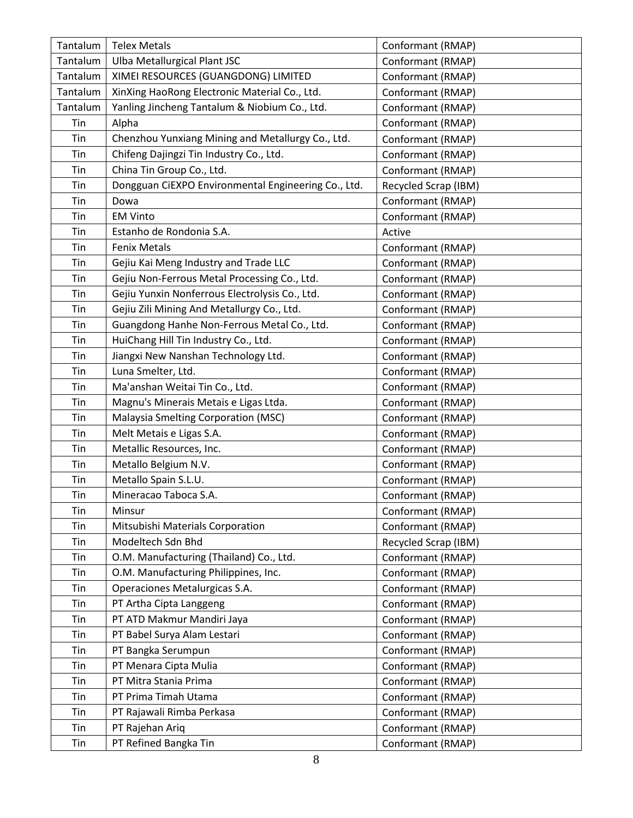| Tantalum | <b>Telex Metals</b>                                 | Conformant (RMAP)    |  |
|----------|-----------------------------------------------------|----------------------|--|
| Tantalum | Ulba Metallurgical Plant JSC                        | Conformant (RMAP)    |  |
| Tantalum | XIMEI RESOURCES (GUANGDONG) LIMITED                 | Conformant (RMAP)    |  |
| Tantalum | XinXing HaoRong Electronic Material Co., Ltd.       | Conformant (RMAP)    |  |
| Tantalum | Yanling Jincheng Tantalum & Niobium Co., Ltd.       | Conformant (RMAP)    |  |
| Tin      | Alpha                                               | Conformant (RMAP)    |  |
| Tin      | Chenzhou Yunxiang Mining and Metallurgy Co., Ltd.   | Conformant (RMAP)    |  |
| Tin      | Chifeng Dajingzi Tin Industry Co., Ltd.             | Conformant (RMAP)    |  |
| Tin      | China Tin Group Co., Ltd.                           | Conformant (RMAP)    |  |
| Tin      | Dongguan CiEXPO Environmental Engineering Co., Ltd. | Recycled Scrap (IBM) |  |
| Tin      | Dowa                                                | Conformant (RMAP)    |  |
| Tin      | <b>EM Vinto</b>                                     | Conformant (RMAP)    |  |
| Tin      | Estanho de Rondonia S.A.                            | Active               |  |
| Tin      | <b>Fenix Metals</b>                                 | Conformant (RMAP)    |  |
| Tin      | Gejiu Kai Meng Industry and Trade LLC               | Conformant (RMAP)    |  |
| Tin      | Gejiu Non-Ferrous Metal Processing Co., Ltd.        | Conformant (RMAP)    |  |
| Tin      | Gejiu Yunxin Nonferrous Electrolysis Co., Ltd.      | Conformant (RMAP)    |  |
| Tin      | Gejiu Zili Mining And Metallurgy Co., Ltd.          | Conformant (RMAP)    |  |
| Tin      | Guangdong Hanhe Non-Ferrous Metal Co., Ltd.         | Conformant (RMAP)    |  |
| Tin      | HuiChang Hill Tin Industry Co., Ltd.                | Conformant (RMAP)    |  |
| Tin      | Jiangxi New Nanshan Technology Ltd.                 | Conformant (RMAP)    |  |
| Tin      | Luna Smelter, Ltd.                                  | Conformant (RMAP)    |  |
| Tin      | Ma'anshan Weitai Tin Co., Ltd.                      | Conformant (RMAP)    |  |
| Tin      | Magnu's Minerais Metais e Ligas Ltda.               | Conformant (RMAP)    |  |
| Tin      | Malaysia Smelting Corporation (MSC)                 | Conformant (RMAP)    |  |
| Tin      | Melt Metais e Ligas S.A.                            | Conformant (RMAP)    |  |
| Tin      | Metallic Resources, Inc.                            | Conformant (RMAP)    |  |
| Tin      | Metallo Belgium N.V.                                | Conformant (RMAP)    |  |
| Tin      | Metallo Spain S.L.U.                                | Conformant (RMAP)    |  |
| Tin      | Mineracao Taboca S.A.                               | Conformant (RMAP)    |  |
| Tin      | Minsur                                              | Conformant (RMAP)    |  |
| Tin      | Mitsubishi Materials Corporation                    | Conformant (RMAP)    |  |
| Tin      | Modeltech Sdn Bhd                                   | Recycled Scrap (IBM) |  |
| Tin      | O.M. Manufacturing (Thailand) Co., Ltd.             | Conformant (RMAP)    |  |
| Tin      | O.M. Manufacturing Philippines, Inc.                | Conformant (RMAP)    |  |
| Tin      | Operaciones Metalurgicas S.A.                       | Conformant (RMAP)    |  |
| Tin      | PT Artha Cipta Langgeng                             | Conformant (RMAP)    |  |
| Tin      | PT ATD Makmur Mandiri Jaya                          | Conformant (RMAP)    |  |
| Tin      | PT Babel Surya Alam Lestari                         | Conformant (RMAP)    |  |
| Tin      | PT Bangka Serumpun                                  | Conformant (RMAP)    |  |
| Tin      | PT Menara Cipta Mulia                               | Conformant (RMAP)    |  |
| Tin      | PT Mitra Stania Prima                               | Conformant (RMAP)    |  |
| Tin      | PT Prima Timah Utama                                | Conformant (RMAP)    |  |
| Tin      | PT Rajawali Rimba Perkasa                           | Conformant (RMAP)    |  |
| Tin      | PT Rajehan Ariq                                     | Conformant (RMAP)    |  |
| Tin      | PT Refined Bangka Tin                               | Conformant (RMAP)    |  |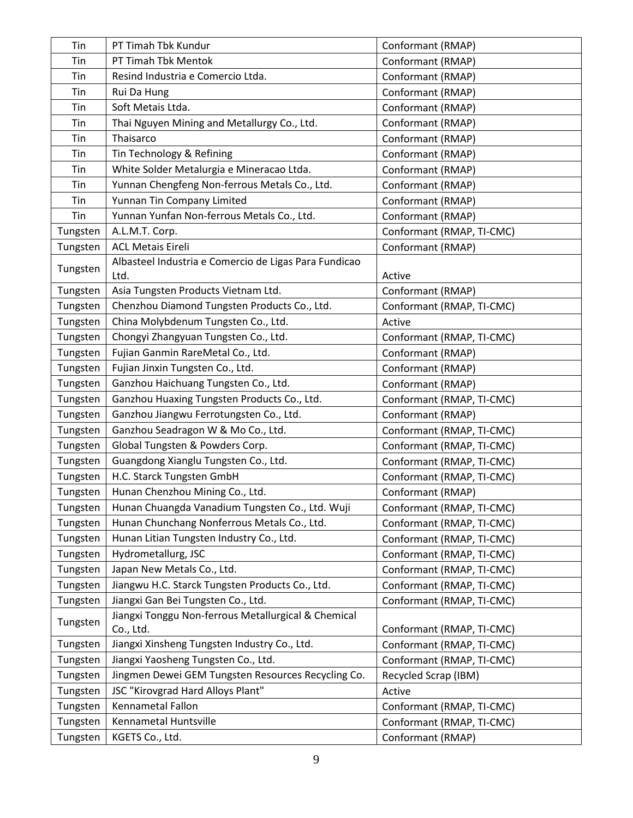| Tin      | PT Timah Tbk Kundur                                   | Conformant (RMAP)         |  |
|----------|-------------------------------------------------------|---------------------------|--|
| Tin      | PT Timah Tbk Mentok                                   | Conformant (RMAP)         |  |
| Tin      | Resind Industria e Comercio Ltda.                     | Conformant (RMAP)         |  |
| Tin      | Rui Da Hung                                           | Conformant (RMAP)         |  |
| Tin      | Soft Metais Ltda.                                     | Conformant (RMAP)         |  |
| Tin      | Thai Nguyen Mining and Metallurgy Co., Ltd.           | Conformant (RMAP)         |  |
| Tin      | Thaisarco                                             | Conformant (RMAP)         |  |
| Tin      | Tin Technology & Refining                             | Conformant (RMAP)         |  |
| Tin      | White Solder Metalurgia e Mineracao Ltda.             | Conformant (RMAP)         |  |
| Tin      | Yunnan Chengfeng Non-ferrous Metals Co., Ltd.         | Conformant (RMAP)         |  |
| Tin      | Yunnan Tin Company Limited                            | Conformant (RMAP)         |  |
| Tin      | Yunnan Yunfan Non-ferrous Metals Co., Ltd.            | Conformant (RMAP)         |  |
| Tungsten | A.L.M.T. Corp.                                        | Conformant (RMAP, TI-CMC) |  |
| Tungsten | <b>ACL Metais Eireli</b>                              | Conformant (RMAP)         |  |
| Tungsten | Albasteel Industria e Comercio de Ligas Para Fundicao |                           |  |
|          | Ltd.                                                  | Active                    |  |
| Tungsten | Asia Tungsten Products Vietnam Ltd.                   | Conformant (RMAP)         |  |
| Tungsten | Chenzhou Diamond Tungsten Products Co., Ltd.          | Conformant (RMAP, TI-CMC) |  |
| Tungsten | China Molybdenum Tungsten Co., Ltd.                   | Active                    |  |
| Tungsten | Chongyi Zhangyuan Tungsten Co., Ltd.                  | Conformant (RMAP, TI-CMC) |  |
| Tungsten | Fujian Ganmin RareMetal Co., Ltd.                     | Conformant (RMAP)         |  |
| Tungsten | Fujian Jinxin Tungsten Co., Ltd.                      | Conformant (RMAP)         |  |
| Tungsten | Ganzhou Haichuang Tungsten Co., Ltd.                  | Conformant (RMAP)         |  |
| Tungsten | Ganzhou Huaxing Tungsten Products Co., Ltd.           | Conformant (RMAP, TI-CMC) |  |
| Tungsten | Ganzhou Jiangwu Ferrotungsten Co., Ltd.               | Conformant (RMAP)         |  |
| Tungsten | Ganzhou Seadragon W & Mo Co., Ltd.                    | Conformant (RMAP, TI-CMC) |  |
| Tungsten | Global Tungsten & Powders Corp.                       | Conformant (RMAP, TI-CMC) |  |
| Tungsten | Guangdong Xianglu Tungsten Co., Ltd.                  | Conformant (RMAP, TI-CMC) |  |
| Tungsten | H.C. Starck Tungsten GmbH                             | Conformant (RMAP, TI-CMC) |  |
| Tungsten | Hunan Chenzhou Mining Co., Ltd.                       | Conformant (RMAP)         |  |
| Tungsten | Hunan Chuangda Vanadium Tungsten Co., Ltd. Wuji       | Conformant (RMAP, TI-CMC) |  |
| Tungsten | Hunan Chunchang Nonferrous Metals Co., Ltd.           | Conformant (RMAP, TI-CMC) |  |
| Tungsten | Hunan Litian Tungsten Industry Co., Ltd.              | Conformant (RMAP, TI-CMC) |  |
| Tungsten | Hydrometallurg, JSC                                   | Conformant (RMAP, TI-CMC) |  |
| Tungsten | Japan New Metals Co., Ltd.                            | Conformant (RMAP, TI-CMC) |  |
| Tungsten | Jiangwu H.C. Starck Tungsten Products Co., Ltd.       | Conformant (RMAP, TI-CMC) |  |
| Tungsten | Jiangxi Gan Bei Tungsten Co., Ltd.                    | Conformant (RMAP, TI-CMC) |  |
| Tungsten | Jiangxi Tonggu Non-ferrous Metallurgical & Chemical   |                           |  |
|          | Co., Ltd.                                             | Conformant (RMAP, TI-CMC) |  |
| Tungsten | Jiangxi Xinsheng Tungsten Industry Co., Ltd.          | Conformant (RMAP, TI-CMC) |  |
| Tungsten | Jiangxi Yaosheng Tungsten Co., Ltd.                   | Conformant (RMAP, TI-CMC) |  |
| Tungsten | Jingmen Dewei GEM Tungsten Resources Recycling Co.    | Recycled Scrap (IBM)      |  |
| Tungsten | JSC "Kirovgrad Hard Alloys Plant"                     | Active                    |  |
| Tungsten | Kennametal Fallon                                     | Conformant (RMAP, TI-CMC) |  |
| Tungsten | Kennametal Huntsville                                 | Conformant (RMAP, TI-CMC) |  |
| Tungsten | KGETS Co., Ltd.                                       | Conformant (RMAP)         |  |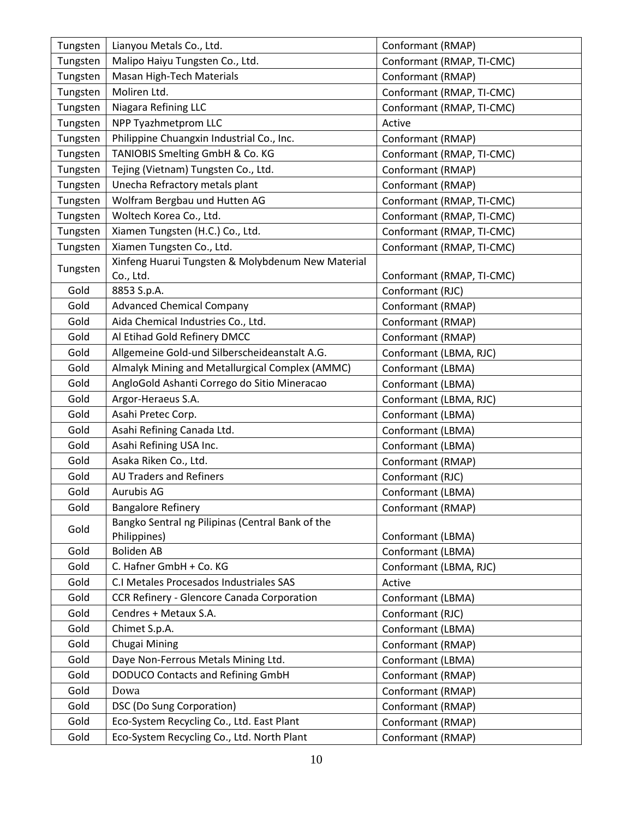| Tungsten | Lianyou Metals Co., Ltd.                          | Conformant (RMAP)         |  |
|----------|---------------------------------------------------|---------------------------|--|
| Tungsten | Malipo Haiyu Tungsten Co., Ltd.                   | Conformant (RMAP, TI-CMC) |  |
| Tungsten | Masan High-Tech Materials                         | Conformant (RMAP)         |  |
| Tungsten | Moliren Ltd.                                      | Conformant (RMAP, TI-CMC) |  |
| Tungsten | Niagara Refining LLC                              | Conformant (RMAP, TI-CMC) |  |
| Tungsten | NPP Tyazhmetprom LLC                              | Active                    |  |
| Tungsten | Philippine Chuangxin Industrial Co., Inc.         | Conformant (RMAP)         |  |
| Tungsten | TANIOBIS Smelting GmbH & Co. KG                   | Conformant (RMAP, TI-CMC) |  |
| Tungsten | Tejing (Vietnam) Tungsten Co., Ltd.               | Conformant (RMAP)         |  |
| Tungsten | Unecha Refractory metals plant                    | Conformant (RMAP)         |  |
| Tungsten | Wolfram Bergbau und Hutten AG                     | Conformant (RMAP, TI-CMC) |  |
| Tungsten | Woltech Korea Co., Ltd.                           | Conformant (RMAP, TI-CMC) |  |
| Tungsten | Xiamen Tungsten (H.C.) Co., Ltd.                  | Conformant (RMAP, TI-CMC) |  |
| Tungsten | Xiamen Tungsten Co., Ltd.                         | Conformant (RMAP, TI-CMC) |  |
| Tungsten | Xinfeng Huarui Tungsten & Molybdenum New Material |                           |  |
|          | Co., Ltd.                                         | Conformant (RMAP, TI-CMC) |  |
| Gold     | 8853 S.p.A.                                       | Conformant (RJC)          |  |
| Gold     | <b>Advanced Chemical Company</b>                  | Conformant (RMAP)         |  |
| Gold     | Aida Chemical Industries Co., Ltd.                | Conformant (RMAP)         |  |
| Gold     | Al Etihad Gold Refinery DMCC                      | Conformant (RMAP)         |  |
| Gold     | Allgemeine Gold-und Silberscheideanstalt A.G.     | Conformant (LBMA, RJC)    |  |
| Gold     | Almalyk Mining and Metallurgical Complex (AMMC)   | Conformant (LBMA)         |  |
| Gold     | AngloGold Ashanti Corrego do Sitio Mineracao      | Conformant (LBMA)         |  |
| Gold     | Argor-Heraeus S.A.                                | Conformant (LBMA, RJC)    |  |
| Gold     | Asahi Pretec Corp.                                | Conformant (LBMA)         |  |
| Gold     | Asahi Refining Canada Ltd.                        | Conformant (LBMA)         |  |
| Gold     | Asahi Refining USA Inc.                           | Conformant (LBMA)         |  |
| Gold     | Asaka Riken Co., Ltd.                             | Conformant (RMAP)         |  |
| Gold     | <b>AU Traders and Refiners</b>                    | Conformant (RJC)          |  |
| Gold     | <b>Aurubis AG</b>                                 | Conformant (LBMA)         |  |
| Gold     | <b>Bangalore Refinery</b>                         | Conformant (RMAP)         |  |
| Gold     | Bangko Sentral ng Pilipinas (Central Bank of the  |                           |  |
|          | Philippines)                                      | Conformant (LBMA)         |  |
| Gold     | <b>Boliden AB</b>                                 | Conformant (LBMA)         |  |
| Gold     | C. Hafner GmbH + Co. KG                           | Conformant (LBMA, RJC)    |  |
| Gold     | C.I Metales Procesados Industriales SAS           | Active                    |  |
| Gold     | CCR Refinery - Glencore Canada Corporation        | Conformant (LBMA)         |  |
| Gold     | Cendres + Metaux S.A.                             | Conformant (RJC)          |  |
| Gold     | Chimet S.p.A.                                     | Conformant (LBMA)         |  |
| Gold     | Chugai Mining                                     | Conformant (RMAP)         |  |
| Gold     | Daye Non-Ferrous Metals Mining Ltd.               | Conformant (LBMA)         |  |
| Gold     | DODUCO Contacts and Refining GmbH                 | Conformant (RMAP)         |  |
| Gold     | Dowa                                              | Conformant (RMAP)         |  |
| Gold     | DSC (Do Sung Corporation)                         | Conformant (RMAP)         |  |
| Gold     | Eco-System Recycling Co., Ltd. East Plant         | Conformant (RMAP)         |  |
| Gold     | Eco-System Recycling Co., Ltd. North Plant        | Conformant (RMAP)         |  |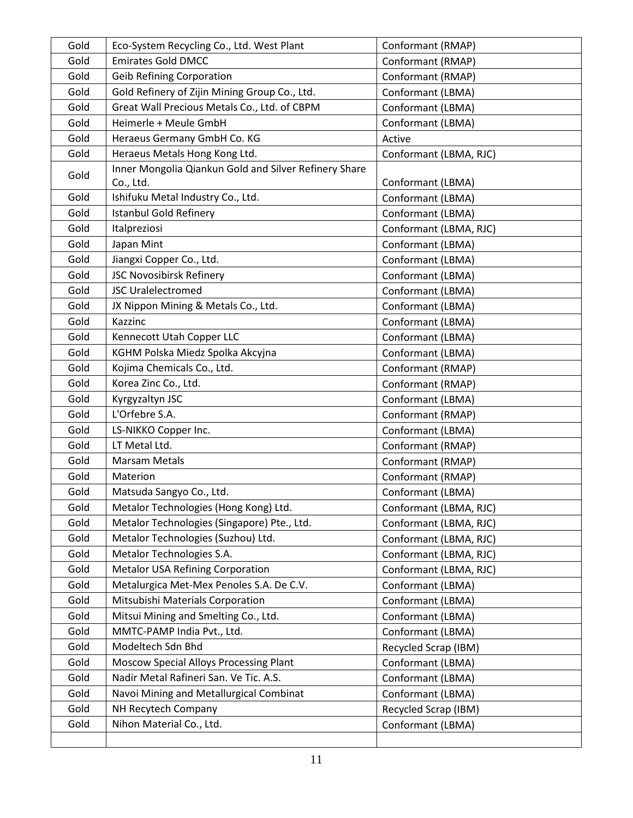| Gold | Eco-System Recycling Co., Ltd. West Plant             | Conformant (RMAP)      |  |
|------|-------------------------------------------------------|------------------------|--|
| Gold | <b>Emirates Gold DMCC</b>                             | Conformant (RMAP)      |  |
| Gold | <b>Geib Refining Corporation</b>                      | Conformant (RMAP)      |  |
| Gold | Gold Refinery of Zijin Mining Group Co., Ltd.         | Conformant (LBMA)      |  |
| Gold | Great Wall Precious Metals Co., Ltd. of CBPM          | Conformant (LBMA)      |  |
| Gold | Heimerle + Meule GmbH                                 | Conformant (LBMA)      |  |
| Gold | Heraeus Germany GmbH Co. KG                           | Active                 |  |
| Gold | Heraeus Metals Hong Kong Ltd.                         | Conformant (LBMA, RJC) |  |
| Gold | Inner Mongolia Qiankun Gold and Silver Refinery Share |                        |  |
|      | Co., Ltd.                                             | Conformant (LBMA)      |  |
| Gold | Ishifuku Metal Industry Co., Ltd.                     | Conformant (LBMA)      |  |
| Gold | <b>Istanbul Gold Refinery</b>                         | Conformant (LBMA)      |  |
| Gold | Italpreziosi                                          | Conformant (LBMA, RJC) |  |
| Gold | Japan Mint                                            | Conformant (LBMA)      |  |
| Gold | Jiangxi Copper Co., Ltd.                              | Conformant (LBMA)      |  |
| Gold | JSC Novosibirsk Refinery                              | Conformant (LBMA)      |  |
| Gold | <b>JSC Uralelectromed</b>                             | Conformant (LBMA)      |  |
| Gold | JX Nippon Mining & Metals Co., Ltd.                   | Conformant (LBMA)      |  |
| Gold | Kazzinc                                               | Conformant (LBMA)      |  |
| Gold | Kennecott Utah Copper LLC                             | Conformant (LBMA)      |  |
| Gold | KGHM Polska Miedz Spolka Akcyjna                      | Conformant (LBMA)      |  |
| Gold | Kojima Chemicals Co., Ltd.                            | Conformant (RMAP)      |  |
| Gold | Korea Zinc Co., Ltd.                                  | Conformant (RMAP)      |  |
| Gold | Kyrgyzaltyn JSC                                       | Conformant (LBMA)      |  |
| Gold | L'Orfebre S.A.                                        | Conformant (RMAP)      |  |
| Gold | LS-NIKKO Copper Inc.                                  | Conformant (LBMA)      |  |
| Gold | LT Metal Ltd.                                         | Conformant (RMAP)      |  |
| Gold | Marsam Metals                                         | Conformant (RMAP)      |  |
| Gold | Materion                                              | Conformant (RMAP)      |  |
| Gold | Matsuda Sangyo Co., Ltd.                              | Conformant (LBMA)      |  |
| Gold | Metalor Technologies (Hong Kong) Ltd.                 | Conformant (LBMA, RJC) |  |
| Gold | Metalor Technologies (Singapore) Pte., Ltd.           | Conformant (LBMA, RJC) |  |
| Gold | Metalor Technologies (Suzhou) Ltd.                    | Conformant (LBMA, RJC) |  |
| Gold | Metalor Technologies S.A.                             | Conformant (LBMA, RJC) |  |
| Gold | <b>Metalor USA Refining Corporation</b>               | Conformant (LBMA, RJC) |  |
| Gold | Metalurgica Met-Mex Penoles S.A. De C.V.              | Conformant (LBMA)      |  |
| Gold | Mitsubishi Materials Corporation                      | Conformant (LBMA)      |  |
| Gold | Mitsui Mining and Smelting Co., Ltd.                  | Conformant (LBMA)      |  |
| Gold | MMTC-PAMP India Pvt., Ltd.                            | Conformant (LBMA)      |  |
| Gold | Modeltech Sdn Bhd                                     | Recycled Scrap (IBM)   |  |
| Gold | Moscow Special Alloys Processing Plant                | Conformant (LBMA)      |  |
| Gold | Nadir Metal Rafineri San. Ve Tic. A.S.                | Conformant (LBMA)      |  |
| Gold | Navoi Mining and Metallurgical Combinat               | Conformant (LBMA)      |  |
| Gold | NH Recytech Company                                   | Recycled Scrap (IBM)   |  |
| Gold | Nihon Material Co., Ltd.                              | Conformant (LBMA)      |  |
|      |                                                       |                        |  |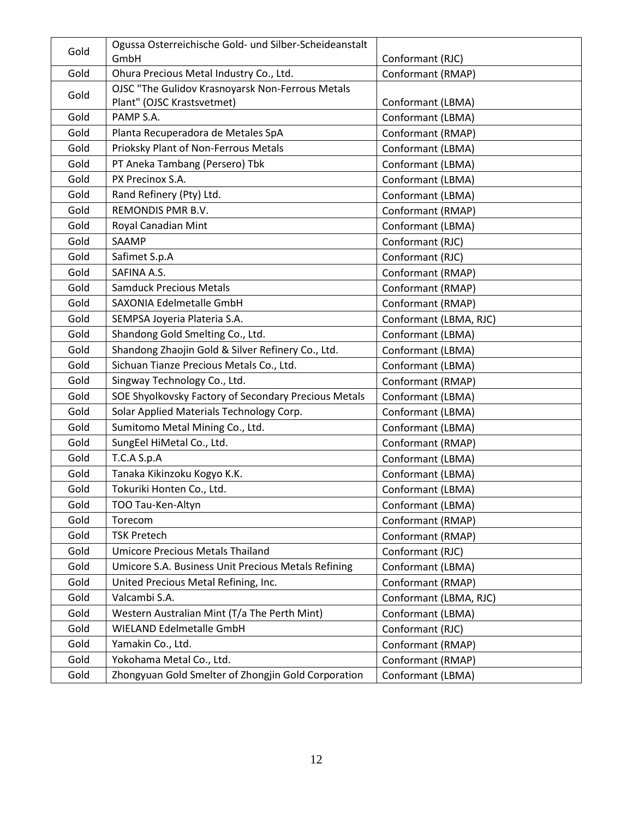| Gold | Ogussa Osterreichische Gold- und Silber-Scheideanstalt<br>GmbH<br>Conformant (RJC) |                        |  |
|------|------------------------------------------------------------------------------------|------------------------|--|
| Gold | Ohura Precious Metal Industry Co., Ltd.                                            | Conformant (RMAP)      |  |
|      | OJSC "The Gulidov Krasnoyarsk Non-Ferrous Metals                                   |                        |  |
| Gold | Plant" (OJSC Krastsvetmet)                                                         | Conformant (LBMA)      |  |
| Gold | PAMP S.A.                                                                          | Conformant (LBMA)      |  |
| Gold | Planta Recuperadora de Metales SpA                                                 | Conformant (RMAP)      |  |
| Gold | Prioksky Plant of Non-Ferrous Metals                                               | Conformant (LBMA)      |  |
| Gold | PT Aneka Tambang (Persero) Tbk                                                     | Conformant (LBMA)      |  |
| Gold | PX Precinox S.A.                                                                   | Conformant (LBMA)      |  |
| Gold | Rand Refinery (Pty) Ltd.                                                           | Conformant (LBMA)      |  |
| Gold | REMONDIS PMR B.V.                                                                  | Conformant (RMAP)      |  |
| Gold | Royal Canadian Mint                                                                | Conformant (LBMA)      |  |
| Gold | SAAMP                                                                              | Conformant (RJC)       |  |
| Gold | Safimet S.p.A                                                                      | Conformant (RJC)       |  |
| Gold | SAFINA A.S.                                                                        | Conformant (RMAP)      |  |
| Gold | <b>Samduck Precious Metals</b>                                                     | Conformant (RMAP)      |  |
| Gold | SAXONIA Edelmetalle GmbH                                                           | Conformant (RMAP)      |  |
| Gold | SEMPSA Joyeria Plateria S.A.                                                       | Conformant (LBMA, RJC) |  |
| Gold | Shandong Gold Smelting Co., Ltd.                                                   | Conformant (LBMA)      |  |
| Gold | Shandong Zhaojin Gold & Silver Refinery Co., Ltd.                                  | Conformant (LBMA)      |  |
| Gold | Sichuan Tianze Precious Metals Co., Ltd.                                           | Conformant (LBMA)      |  |
| Gold | Singway Technology Co., Ltd.                                                       | Conformant (RMAP)      |  |
| Gold | SOE Shyolkovsky Factory of Secondary Precious Metals                               | Conformant (LBMA)      |  |
| Gold | Solar Applied Materials Technology Corp.                                           | Conformant (LBMA)      |  |
| Gold | Sumitomo Metal Mining Co., Ltd.                                                    | Conformant (LBMA)      |  |
| Gold | SungEel HiMetal Co., Ltd.                                                          | Conformant (RMAP)      |  |
| Gold | T.C.A S.p.A                                                                        | Conformant (LBMA)      |  |
| Gold | Tanaka Kikinzoku Kogyo K.K.                                                        | Conformant (LBMA)      |  |
| Gold | Tokuriki Honten Co., Ltd.                                                          | Conformant (LBMA)      |  |
| Gold | TOO Tau-Ken-Altyn                                                                  | Conformant (LBMA)      |  |
| Gold | Torecom                                                                            | Conformant (RMAP)      |  |
| Gold | <b>TSK Pretech</b>                                                                 | Conformant (RMAP)      |  |
| Gold | <b>Umicore Precious Metals Thailand</b>                                            | Conformant (RJC)       |  |
| Gold | Umicore S.A. Business Unit Precious Metals Refining                                | Conformant (LBMA)      |  |
| Gold | United Precious Metal Refining, Inc.                                               | Conformant (RMAP)      |  |
| Gold | Valcambi S.A.                                                                      | Conformant (LBMA, RJC) |  |
| Gold | Western Australian Mint (T/a The Perth Mint)                                       | Conformant (LBMA)      |  |
| Gold | <b>WIELAND Edelmetalle GmbH</b>                                                    | Conformant (RJC)       |  |
| Gold | Yamakin Co., Ltd.                                                                  | Conformant (RMAP)      |  |
| Gold | Yokohama Metal Co., Ltd.                                                           | Conformant (RMAP)      |  |
| Gold | Zhongyuan Gold Smelter of Zhongjin Gold Corporation                                | Conformant (LBMA)      |  |